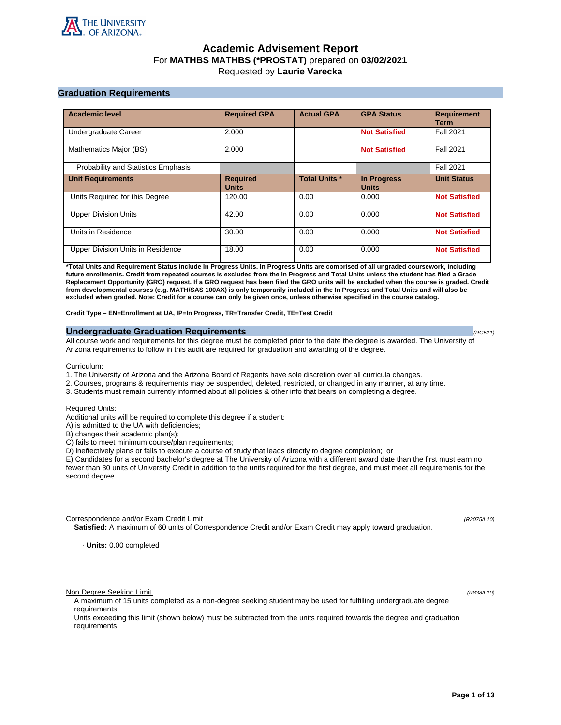

# **Academic Advisement Report** For **MATHBS MATHBS (\*PROSTAT)** prepared on **03/02/2021** Requested by **Laurie Varecka**

# **Graduation Requirements**

| <b>Academic level</b>               | <b>Required GPA</b>             | <b>Actual GPA</b>    | <b>GPA Status</b>                  | <b>Requirement</b><br><b>Term</b> |
|-------------------------------------|---------------------------------|----------------------|------------------------------------|-----------------------------------|
| Undergraduate Career                | 2.000                           |                      | <b>Not Satisfied</b>               | <b>Fall 2021</b>                  |
| Mathematics Major (BS)              | 2.000                           |                      | <b>Not Satisfied</b>               | <b>Fall 2021</b>                  |
| Probability and Statistics Emphasis |                                 |                      |                                    | <b>Fall 2021</b>                  |
| <b>Unit Requirements</b>            | <b>Required</b><br><b>Units</b> | <b>Total Units *</b> | <b>In Progress</b><br><b>Units</b> | <b>Unit Status</b>                |
| Units Required for this Degree      | 120.00                          | 0.00                 | 0.000                              | <b>Not Satisfied</b>              |
| <b>Upper Division Units</b>         | 42.00                           | 0.00                 | 0.000                              | <b>Not Satisfied</b>              |
| Units in Residence                  | 30.00                           | 0.00                 | 0.000                              | <b>Not Satisfied</b>              |
| Upper Division Units in Residence   | 18.00                           | 0.00                 | 0.000                              | <b>Not Satisfied</b>              |

**\*Total Units and Requirement Status include In Progress Units. In Progress Units are comprised of all ungraded coursework, including future enrollments. Credit from repeated courses is excluded from the In Progress and Total Units unless the student has filed a Grade Replacement Opportunity (GRO) request. If a GRO request has been filed the GRO units will be excluded when the course is graded. Credit from developmental courses (e.g. MATH/SAS 100AX) is only temporarily included in the In Progress and Total Units and will also be excluded when graded. Note: Credit for a course can only be given once, unless otherwise specified in the course catalog.**

**Credit Type** – **EN=Enrollment at UA, IP=In Progress, TR=Transfer Credit, TE=Test Credit**

## **Undergraduate Graduation Requirements (RG511) (RG511) (RG511) (RG511)**

All course work and requirements for this degree must be completed prior to the date the degree is awarded. The University of Arizona requirements to follow in this audit are required for graduation and awarding of the degree.

Curriculum:

- 1. The University of Arizona and the Arizona Board of Regents have sole discretion over all curricula changes.
- 2. Courses, programs & requirements may be suspended, deleted, restricted, or changed in any manner, at any time.
- 3. Students must remain currently informed about all policies & other info that bears on completing a degree.

Required Units:

Additional units will be required to complete this degree if a student:

A) is admitted to the UA with deficiencies;

B) changes their academic plan(s);

C) fails to meet minimum course/plan requirements;

D) ineffectively plans or fails to execute a course of study that leads directly to degree completion; or

E) Candidates for a second bachelor's degree at The University of Arizona with a different award date than the first must earn no fewer than 30 units of University Credit in addition to the units required for the first degree, and must meet all requirements for the second degree.

Correspondence and/or Exam Credit Limit (R2075/L10) (R2075/L10)

**Satisfied:** A maximum of 60 units of Correspondence Credit and/or Exam Credit may apply toward graduation.

· **Units:** 0.00 completed

Non Degree Seeking Limit (R838/L10)

A maximum of 15 units completed as a non-degree seeking student may be used for fulfilling undergraduate degree requirements.

Units exceeding this limit (shown below) must be subtracted from the units required towards the degree and graduation requirements.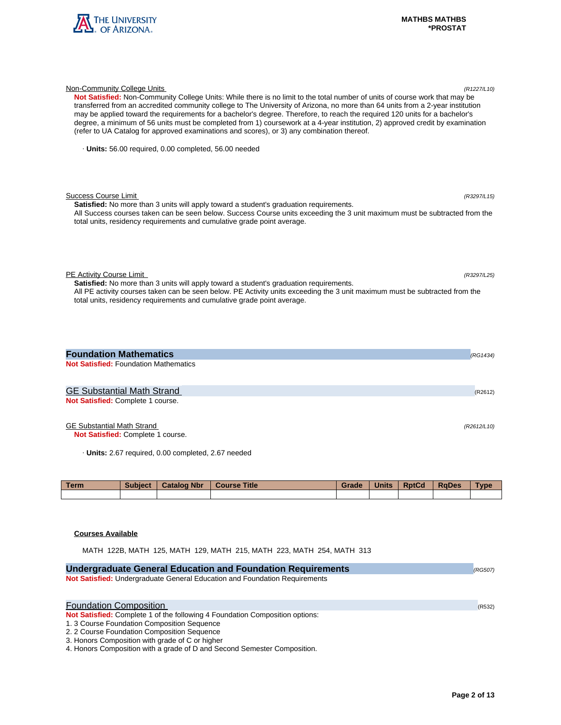

| (refer to UA Catalog for approved examinations and scores), or 3) any combination thereof.                                                                                                                                                                                                                                                           |         |
|------------------------------------------------------------------------------------------------------------------------------------------------------------------------------------------------------------------------------------------------------------------------------------------------------------------------------------------------------|---------|
| · Units: 56.00 required, 0.00 completed, 56.00 needed                                                                                                                                                                                                                                                                                                |         |
| <b>Success Course Limit</b><br>(R3297/L15)<br><b>Satisfied:</b> No more than 3 units will apply toward a student's graduation requirements.<br>All Success courses taken can be seen below. Success Course units exceeding the 3 unit maximum must be subtracted from the<br>total units, residency requirements and cumulative grade point average. |         |
| PE Activity Course Limit<br>(R3297/L25)<br>Satisfied: No more than 3 units will apply toward a student's graduation requirements.<br>All PE activity courses taken can be seen below. PE Activity units exceeding the 3 unit maximum must be subtracted from the<br>total units, residency requirements and cumulative grade point average.          |         |
| <b>Foundation Mathematics</b><br>(RG1434)<br><b>Not Satisfied: Foundation Mathematics</b>                                                                                                                                                                                                                                                            |         |
| <b>GE Substantial Math Strand</b><br>Not Satisfied: Complete 1 course.                                                                                                                                                                                                                                                                               | (R2612) |

Non-Community College Units (R1227/L10)

# GE Substantial Math Strand (R2612/L10)

**Not Satisfied:** Complete 1 course.

· **Units:** 2.67 required, 0.00 completed, 2.67 needed

| <b>Term</b> | <b>Subject</b> | <b>Catalog Nbr</b> | <b>Course Title</b> | Grade | <b>Units</b> | <b>RptCd</b> | <b>RaDes</b> | <b>Type</b> |
|-------------|----------------|--------------------|---------------------|-------|--------------|--------------|--------------|-------------|
|             |                |                    |                     |       |              |              |              |             |

## **Courses Available**

MATH 122B, MATH 125, MATH 129, MATH 215, MATH 223, MATH 254, MATH 313

| <b>Undergraduate General Education and Foundation Requirements</b><br>Not Satisfied: Undergraduate General Education and Foundation Requirements                                                                                                                                                                                                 | (RG507) |
|--------------------------------------------------------------------------------------------------------------------------------------------------------------------------------------------------------------------------------------------------------------------------------------------------------------------------------------------------|---------|
| <b>Foundation Composition</b><br><b>Not Satisfied:</b> Complete 1 of the following 4 Foundation Composition options:<br>1.3 Course Foundation Composition Sequence<br>2. 2 Course Foundation Composition Sequence<br>3. Honors Composition with grade of C or higher<br>4. Honors Composition with a grade of D and Second Semester Composition. | (R532)  |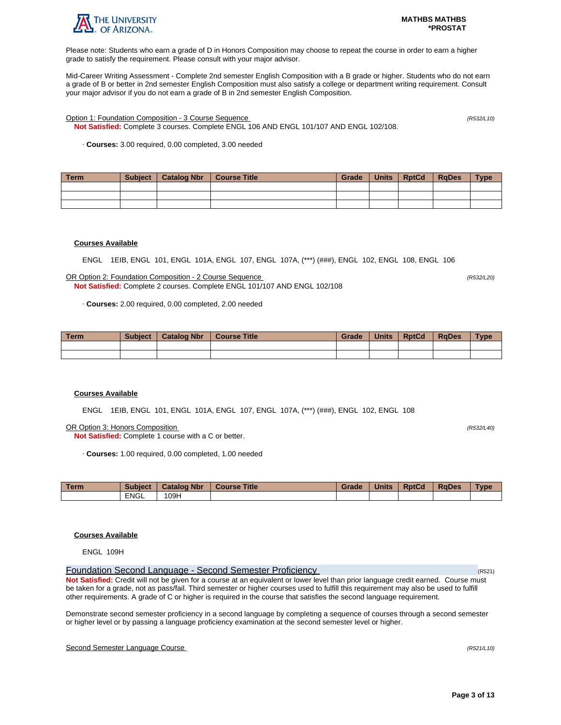

Please note: Students who earn a grade of D in Honors Composition may choose to repeat the course in order to earn a higher grade to satisfy the requirement. Please consult with your major advisor.

Mid-Career Writing Assessment - Complete 2nd semester English Composition with a B grade or higher. Students who do not earn a grade of B or better in 2nd semester English Composition must also satisfy a college or department writing requirement. Consult your major advisor if you do not earn a grade of B in 2nd semester English Composition.

Option 1: Foundation Composition - 3 Course Sequence (R532/L10)

**Not Satisfied:** Complete 3 courses. Complete ENGL 106 AND ENGL 101/107 AND ENGL 102/108.

· **Courses:** 3.00 required, 0.00 completed, 3.00 needed

| Term | <b>Subject</b> | Catalog Nbr | Course Title | Grade | Units | <b>RptCd</b> | <b>RaDes</b> | <b>Type</b> |
|------|----------------|-------------|--------------|-------|-------|--------------|--------------|-------------|
|      |                |             |              |       |       |              |              |             |
|      |                |             |              |       |       |              |              |             |
|      |                |             |              |       |       |              |              |             |

## **Courses Available**

ENGL 1EIB, ENGL 101, ENGL 101A, ENGL 107, ENGL 107A, (\*\*\*) (###), ENGL 102, ENGL 108, ENGL 106

OR Option 2: Foundation Composition - 2 Course Sequence (R532/L20) **Not Satisfied:** Complete 2 courses. Complete ENGL 101/107 AND ENGL 102/108

· **Courses:** 2.00 required, 0.00 completed, 2.00 needed

| <b>Term</b> | <b>Subject</b> | <b>Catalog Nbr</b> | <b>Course Title</b> | Grade | <b>Units</b> | <b>RptCd</b> | <b>RaDes</b> | <b>Type</b> |
|-------------|----------------|--------------------|---------------------|-------|--------------|--------------|--------------|-------------|
|             |                |                    |                     |       |              |              |              |             |
|             |                |                    |                     |       |              |              |              |             |

### **Courses Available**

ENGL 1EIB, ENGL 101, ENGL 101A, ENGL 107, ENGL 107A, (\*\*\*) (###), ENGL 102, ENGL 108

OR Option 3: Honors Composition (R532/L40)

**Not Satisfied:** Complete 1 course with a C or better.

· **Courses:** 1.00 required, 0.00 completed, 1.00 needed

| <b>Term</b> | <b>Subject</b> | <b>Catalog Nbr</b> | <b>Title</b><br><b>Course</b> | Grade | <b>Units</b> | <b>RptCd</b> | <b>RaDes</b> | <b>Type</b> |
|-------------|----------------|--------------------|-------------------------------|-------|--------------|--------------|--------------|-------------|
|             | <b>ENGL</b>    | 109H               |                               |       |              |              |              |             |

## **Courses Available**

ENGL 109H

Foundation Second Language - Second Semester Proficiency (R521) **Not Satisfied:** Credit will not be given for a course at an equivalent or lower level than prior language credit earned. Course must be taken for a grade, not as pass/fail. Third semester or higher courses used to fulfill this requirement may also be used to fulfill other requirements. A grade of C or higher is required in the course that satisfies the second language requirement.

Demonstrate second semester proficiency in a second language by completing a sequence of courses through a second semester or higher level or by passing a language proficiency examination at the second semester level or higher.

## Second Semester Language Course (R521/L10)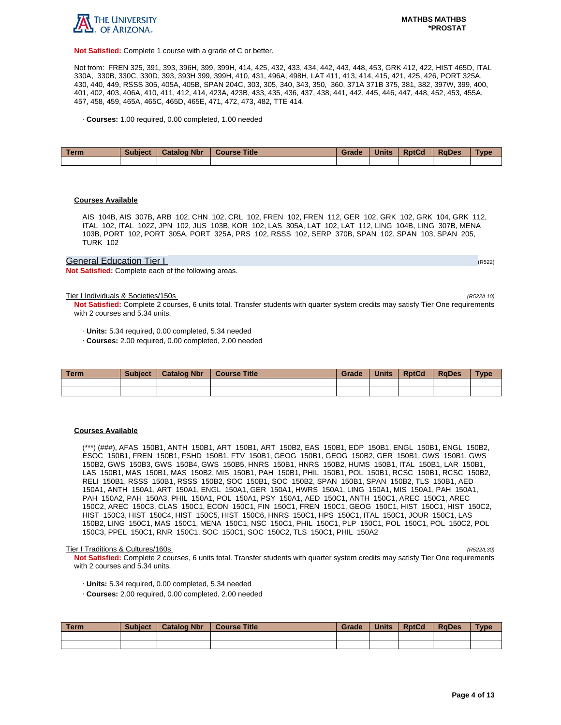

**Not Satisfied:** Complete 1 course with a grade of C or better.

Not from: FREN 325, 391, 393, 396H, 399, 399H, 414, 425, 432, 433, 434, 442, 443, 448, 453, GRK 412, 422, HIST 465D, ITAL 330A, 330B, 330C, 330D, 393, 393H 399, 399H, 410, 431, 496A, 498H, LAT 411, 413, 414, 415, 421, 425, 426, PORT 325A, 430, 440, 449, RSSS 305, 405A, 405B, SPAN 204C, 303, 305, 340, 343, 350, 360, 371A 371B 375, 381, 382, 397W, 399, 400, 401, 402, 403, 406A, 410, 411, 412, 414, 423A, 423B, 433, 435, 436, 437, 438, 441, 442, 445, 446, 447, 448, 452, 453, 455A, 457, 458, 459, 465A, 465C, 465D, 465E, 471, 472, 473, 482, TTE 414.

· **Courses:** 1.00 required, 0.00 completed, 1.00 needed

| Term | <b>Subject</b> | <b>Catalog Nbr</b> | <b>Course Title</b> | Grade | <b>Units</b> | <b>RptCd</b> | <b>RaDes</b> | Type |
|------|----------------|--------------------|---------------------|-------|--------------|--------------|--------------|------|
|      |                |                    |                     |       |              |              |              |      |

### **Courses Available**

AIS 104B, AIS 307B, ARB 102, CHN 102, CRL 102, FREN 102, FREN 112, GER 102, GRK 102, GRK 104, GRK 112, ITAL 102, ITAL 102Z, JPN 102, JUS 103B, KOR 102, LAS 305A, LAT 102, LAT 112, LING 104B, LING 307B, MENA 103B, PORT 102, PORT 305A, PORT 325A, PRS 102, RSSS 102, SERP 370B, SPAN 102, SPAN 103, SPAN 205, TURK 102

## General Education Tier I (RS22) And The Contract of the Contract of the Contract of the Contract of the Contract of the Contract of the Contract of the Contract of the Contract of the Contract of the Contract of the Contra

**Not Satisfied:** Complete each of the following areas.

Tier I Individuals & Societies/150s (R522/L10)

**Not Satisfied:** Complete 2 courses, 6 units total. Transfer students with quarter system credits may satisfy Tier One requirements with 2 courses and 5.34 units.

· **Units:** 5.34 required, 0.00 completed, 5.34 needed

· **Courses:** 2.00 required, 0.00 completed, 2.00 needed

| Term | <b>Subject</b> | <b>Catalog Nbr</b> | <b>Course Title</b> | Grade | <b>Units</b> | <b>RptCd</b> | <b>RaDes</b> | Type |
|------|----------------|--------------------|---------------------|-------|--------------|--------------|--------------|------|
|      |                |                    |                     |       |              |              |              |      |
|      |                |                    |                     |       |              |              |              |      |

#### **Courses Available**

(\*\*\*) (###), AFAS 150B1, ANTH 150B1, ART 150B1, ART 150B2, EAS 150B1, EDP 150B1, ENGL 150B1, ENGL 150B2, ESOC 150B1, FREN 150B1, FSHD 150B1, FTV 150B1, GEOG 150B1, GEOG 150B2, GER 150B1, GWS 150B1, GWS 150B2, GWS 150B3, GWS 150B4, GWS 150B5, HNRS 150B1, HNRS 150B2, HUMS 150B1, ITAL 150B1, LAR 150B1, LAS 150B1, MAS 150B1, MAS 150B2, MIS 150B1, PAH 150B1, PHIL 150B1, POL 150B1, RCSC 150B1, RCSC 150B2, RELI 150B1, RSSS 150B1, RSSS 150B2, SOC 150B1, SOC 150B2, SPAN 150B1, SPAN 150B2, TLS 150B1, AED 150A1, ANTH 150A1, ART 150A1, ENGL 150A1, GER 150A1, HWRS 150A1, LING 150A1, MIS 150A1, PAH 150A1, PAH 150A2, PAH 150A3, PHIL 150A1, POL 150A1, PSY 150A1, AED 150C1, ANTH 150C1, AREC 150C1, AREC 150C2, AREC 150C3, CLAS 150C1, ECON 150C1, FIN 150C1, FREN 150C1, GEOG 150C1, HIST 150C1, HIST 150C2, HIST 150C3, HIST 150C4, HIST 150C5, HIST 150C6, HNRS 150C1, HPS 150C1, ITAL 150C1, JOUR 150C1, LAS 150B2, LING 150C1, MAS 150C1, MENA 150C1, NSC 150C1, PHIL 150C1, PLP 150C1, POL 150C1, POL 150C2, POL 150C3, PPEL 150C1, RNR 150C1, SOC 150C1, SOC 150C2, TLS 150C1, PHIL 150A2

#### Tier I Traditions & Cultures/160s (R522/L30)

**Not Satisfied:** Complete 2 courses, 6 units total. Transfer students with quarter system credits may satisfy Tier One requirements with 2 courses and 5.34 units.

- · **Units:** 5.34 required, 0.00 completed, 5.34 needed
- · **Courses:** 2.00 required, 0.00 completed, 2.00 needed

| Term | <b>Subject</b> | Catalog Nbr   Course Title | Grade | Units | <b>RptCd</b> | RaDes | <b>Type</b> |
|------|----------------|----------------------------|-------|-------|--------------|-------|-------------|
|      |                |                            |       |       |              |       |             |
|      |                |                            |       |       |              |       |             |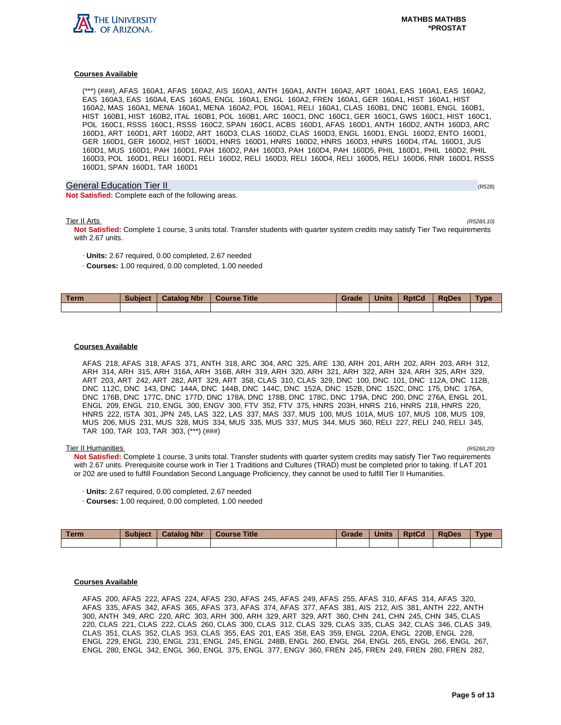

(\*\*\*) (###), AFAS 160A1, AFAS 160A2, AIS 160A1, ANTH 160A1, ANTH 160A2, ART 160A1, EAS 160A1, EAS 160A2, EAS 160A3, EAS 160A4, EAS 160A5, ENGL 160A1, ENGL 160A2, FREN 160A1, GER 160A1, HIST 160A1, HIST 160A2, MAS 160A1, MENA 160A1, MENA 160A2, POL 160A1, RELI 160A1, CLAS 160B1, DNC 160B1, ENGL 160B1, HIST 160B1, HIST 160B2, ITAL 160B1, POL 160B1, ARC 160C1, DNC 160C1, GER 160C1, GWS 160C1, HIST 160C1, POL 160C1, RSSS 160C1, RSSS 160C2, SPAN 160C1, ACBS 160D1, AFAS 160D1, ANTH 160D2, ANTH 160D3, ARC 160D1, ART 160D1, ART 160D2, ART 160D3, CLAS 160D2, CLAS 160D3, ENGL 160D1, ENGL 160D2, ENTO 160D1, GER 160D1, GER 160D2, HIST 160D1, HNRS 160D1, HNRS 160D2, HNRS 160D3, HNRS 160D4, ITAL 160D1, JUS 160D1, MUS 160D1, PAH 160D1, PAH 160D2, PAH 160D3, PAH 160D4, PAH 160D5, PHIL 160D1, PHIL 160D2, PHIL 160D3, POL 160D1, RELI 160D1, RELI 160D2, RELI 160D3, RELI 160D4, RELI 160D5, RELI 160D6, RNR 160D1, RSSS 160D1, SPAN 160D1, TAR 160D1

## General Education Tier II (R528) (R528) (R528) (R528) (R528) (R528) (R528) (R528)

**Not Satisfied:** Complete each of the following areas.

Tier II Arts (R528/L10)

**Not Satisfied:** Complete 1 course, 3 units total. Transfer students with quarter system credits may satisfy Tier Two requirements with 2.67 units.

- · **Units:** 2.67 required, 0.00 completed, 2.67 needed
- · **Courses:** 1.00 required, 0.00 completed, 1.00 needed

| <b>Term</b> | <b>Subject</b> | <b>Catalog Nbr</b> | <b>Title</b><br><b>Course</b> | Grade | <b>Units</b> | <b>RptCd</b> | <b>RaDes</b> | Type |
|-------------|----------------|--------------------|-------------------------------|-------|--------------|--------------|--------------|------|
|             |                |                    |                               |       |              |              |              |      |

### **Courses Available**

AFAS 218, AFAS 318, AFAS 371, ANTH 318, ARC 304, ARC 325, ARE 130, ARH 201, ARH 202, ARH 203, ARH 312, ARH 314, ARH 315, ARH 316A, ARH 316B, ARH 319, ARH 320, ARH 321, ARH 322, ARH 324, ARH 325, ARH 329, ART 203, ART 242, ART 282, ART 329, ART 358, CLAS 310, CLAS 329, DNC 100, DNC 101, DNC 112A, DNC 112B, DNC 112C, DNC 143, DNC 144A, DNC 144B, DNC 144C, DNC 152A, DNC 152B, DNC 152C, DNC 175, DNC 176A, DNC 176B, DNC 177C, DNC 177D, DNC 178A, DNC 178B, DNC 178C, DNC 179A, DNC 200, DNC 276A, ENGL 201, ENGL 209, ENGL 210, ENGL 300, ENGV 300, FTV 352, FTV 375, HNRS 203H, HNRS 216, HNRS 218, HNRS 220, HNRS 222, ISTA 301, JPN 245, LAS 322, LAS 337, MAS 337, MUS 100, MUS 101A, MUS 107, MUS 108, MUS 109, MUS 206, MUS 231, MUS 328, MUS 334, MUS 335, MUS 337, MUS 344, MUS 360, RELI 227, RELI 240, RELI 345, TAR 100, TAR 103, TAR 303, (\*\*\*) (###)

#### Tier II Humanities (R528/L20)

**Not Satisfied:** Complete 1 course, 3 units total. Transfer students with quarter system credits may satisfy Tier Two requirements with 2.67 units. Prerequisite course work in Tier 1 Traditions and Cultures (TRAD) must be completed prior to taking. If LAT 201 or 202 are used to fulfill Foundation Second Language Proficiency, they cannot be used to fulfill Tier II Humanities.

- · **Units:** 2.67 required, 0.00 completed, 2.67 needed
- · **Courses:** 1.00 required, 0.00 completed, 1.00 needed

| Term | <b>Subject</b> | <b>Catalog Nbr</b> | <b>Course Title</b> | Grade | <b>Units</b> | <b>RptCd</b> | <b>RaDes</b> | <b>Type</b> |
|------|----------------|--------------------|---------------------|-------|--------------|--------------|--------------|-------------|
|      |                |                    |                     |       |              |              |              |             |

## **Courses Available**

AFAS 200, AFAS 222, AFAS 224, AFAS 230, AFAS 245, AFAS 249, AFAS 255, AFAS 310, AFAS 314, AFAS 320, AFAS 335, AFAS 342, AFAS 365, AFAS 373, AFAS 374, AFAS 377, AFAS 381, AIS 212, AIS 381, ANTH 222, ANTH 300, ANTH 349, ARC 220, ARC 303, ARH 300, ARH 329, ART 329, ART 360, CHN 241, CHN 245, CHN 345, CLAS 220, CLAS 221, CLAS 222, CLAS 260, CLAS 300, CLAS 312, CLAS 329, CLAS 335, CLAS 342, CLAS 346, CLAS 349, CLAS 351, CLAS 352, CLAS 353, CLAS 355, EAS 201, EAS 358, EAS 359, ENGL 220A, ENGL 220B, ENGL 228, ENGL 229, ENGL 230, ENGL 231, ENGL 245, ENGL 248B, ENGL 260, ENGL 264, ENGL 265, ENGL 266, ENGL 267, ENGL 280, ENGL 342, ENGL 360, ENGL 375, ENGL 377, ENGV 360, FREN 245, FREN 249, FREN 280, FREN 282,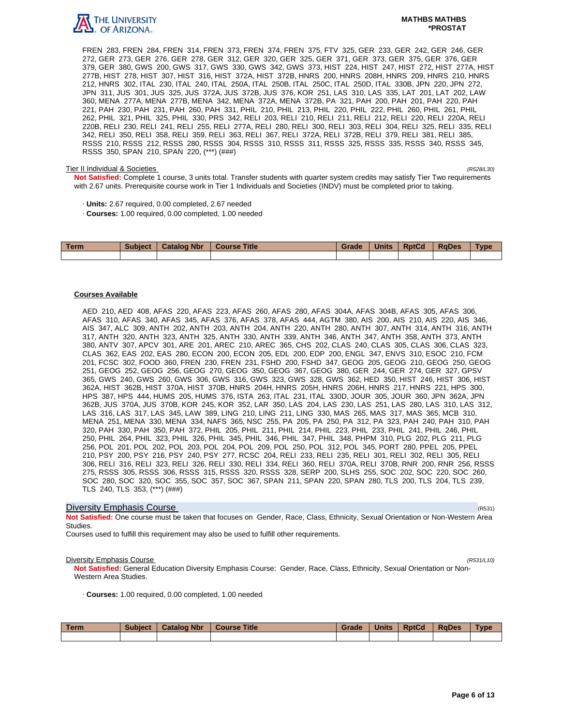

#### **MATHBS MATHBS \*PROSTAT**

FREN 283, FREN 284, FREN 314, FREN 373, FREN 374, FREN 375, FTV 325, GER 233, GER 242, GER 246, GER 272, GER 273, GER 276, GER 278, GER 312, GER 320, GER 325, GER 371, GER 373, GER 375, GER 376, GER 379, GER 380, GWS 200, GWS 317, GWS 330, GWS 342, GWS 373, HIST 224, HIST 247, HIST 272, HIST 277A, HIST 277B, HIST 278, HIST 307, HIST 316, HIST 372A, HIST 372B, HNRS 200, HNRS 208H, HNRS 209, HNRS 210, HNRS 212, HNRS 302, ITAL 230, ITAL 240, ITAL 250A, ITAL 250B, ITAL 250C, ITAL 250D, ITAL 330B, JPN 220, JPN 272, JPN 311, JUS 301, JUS 325, JUS 372A, JUS 372B, JUS 376, KOR 251, LAS 310, LAS 335, LAT 201, LAT 202, LAW 360, MENA 277A, MENA 277B, MENA 342, MENA 372A, MENA 372B, PA 321, PAH 200, PAH 201, PAH 220, PAH 221, PAH 230, PAH 231, PAH 260, PAH 331, PHIL 210, PHIL 213, PHIL 220, PHIL 222, PHIL 260, PHIL 261, PHIL 262, PHIL 321, PHIL 325, PHIL 330, PRS 342, RELI 203, RELI 210, RELI 211, RELI 212, RELI 220, RELI 220A, RELI 220B, RELI 230, RELI 241, RELI 255, RELI 277A, RELI 280, RELI 300, RELI 303, RELI 304, RELI 325, RELI 335, RELI 342, RELI 350, RELI 358, RELI 359, RELI 363, RELI 367, RELI 372A, RELI 372B, RELI 379, RELI 381, RELI 385, RSSS 210, RSSS 212, RSSS 280, RSSS 304, RSSS 310, RSSS 311, RSSS 325, RSSS 335, RSSS 340, RSSS 345, RSSS 350, SPAN 210, SPAN 220, (\*\*\*) (###)

#### Tier II Individual & Societies (R528/L30)

**Not Satisfied:** Complete 1 course, 3 units total. Transfer students with quarter system credits may satisfy Tier Two requirements with 2.67 units. Prerequisite course work in Tier 1 Individuals and Societies (INDV) must be completed prior to taking.

- · **Units:** 2.67 required, 0.00 completed, 2.67 needed
- · **Courses:** 1.00 required, 0.00 completed, 1.00 needed

| <b>Term</b> | <b>Subject</b> | <b>Catalog Nbr</b> | <b>Course Title</b> | Grade | <b>Units</b> | <b>RptCd</b> | <b>RaDes</b> | Type |
|-------------|----------------|--------------------|---------------------|-------|--------------|--------------|--------------|------|
|             |                |                    |                     |       |              |              |              |      |

#### **Courses Available**

AED 210, AED 408, AFAS 220, AFAS 223, AFAS 260, AFAS 280, AFAS 304A, AFAS 304B, AFAS 305, AFAS 306, AFAS 310, AFAS 340, AFAS 345, AFAS 376, AFAS 378, AFAS 444, AGTM 380, AIS 200, AIS 210, AIS 220, AIS 346, AIS 347, ALC 309, ANTH 202, ANTH 203, ANTH 204, ANTH 220, ANTH 280, ANTH 307, ANTH 314, ANTH 316, ANTH 317, ANTH 320, ANTH 323, ANTH 325, ANTH 330, ANTH 339, ANTH 346, ANTH 347, ANTH 358, ANTH 373, ANTH 380, ANTV 307, APCV 301, ARE 201, AREC 210, AREC 365, CHS 202, CLAS 240, CLAS 305, CLAS 306, CLAS 323, CLAS 362, EAS 202, EAS 280, ECON 200, ECON 205, EDL 200, EDP 200, ENGL 347, ENVS 310, ESOC 210, FCM 201, FCSC 302, FOOD 360, FREN 230, FREN 231, FSHD 200, FSHD 347, GEOG 205, GEOG 210, GEOG 250, GEOG 251, GEOG 252, GEOG 256, GEOG 270, GEOG 350, GEOG 367, GEOG 380, GER 244, GER 274, GER 327, GPSV 365, GWS 240, GWS 260, GWS 306, GWS 316, GWS 323, GWS 328, GWS 362, HED 350, HIST 246, HIST 306, HIST 362A, HIST 362B, HIST 370A, HIST 370B, HNRS 204H, HNRS 205H, HNRS 206H, HNRS 217, HNRS 221, HPS 300, HPS 387, HPS 444, HUMS 205, HUMS 376, ISTA 263, ITAL 231, ITAL 330D, JOUR 305, JOUR 360, JPN 362A, JPN 362B, JUS 370A, JUS 370B, KOR 245, KOR 352, LAR 350, LAS 204, LAS 230, LAS 251, LAS 280, LAS 310, LAS 312, LAS 316, LAS 317, LAS 345, LAW 389, LING 210, LING 211, LING 330, MAS 265, MAS 317, MAS 365, MCB 310, MENA 251, MENA 330, MENA 334, NAFS 365, NSC 255, PA 205, PA 250, PA 312, PA 323, PAH 240, PAH 310, PAH 320, PAH 330, PAH 350, PAH 372, PHIL 205, PHIL 211, PHIL 214, PHIL 223, PHIL 233, PHIL 241, PHIL 246, PHIL 250, PHIL 264, PHIL 323, PHIL 326, PHIL 345, PHIL 346, PHIL 347, PHIL 348, PHPM 310, PLG 202, PLG 211, PLG 256, POL 201, POL 202, POL 203, POL 204, POL 209, POL 250, POL 312, POL 345, PORT 280, PPEL 205, PPEL 210, PSY 200, PSY 216, PSY 240, PSY 277, RCSC 204, RELI 233, RELI 235, RELI 301, RELI 302, RELI 305, RELI 306, RELI 316, RELI 323, RELI 326, RELI 330, RELI 334, RELI 360, RELI 370A, RELI 370B, RNR 200, RNR 256, RSSS 275, RSSS 305, RSSS 306, RSSS 315, RSSS 320, RSSS 328, SERP 200, SLHS 255, SOC 202, SOC 220, SOC 260, SOC 280, SOC 320, SOC 355, SOC 357, SOC 367, SPAN 211, SPAN 220, SPAN 280, TLS 200, TLS 204, TLS 239, TLS 240, TLS 353, (\*\*\*) (###)

### **Diversity Emphasis Course** (R531) **Diversity Emphasis Course**

**Not Satisfied:** One course must be taken that focuses on Gender, Race, Class, Ethnicity, Sexual Orientation or Non-Western Area Studies.

Courses used to fulfill this requirement may also be used to fulfill other requirements.

#### **Diversity Emphasis Course** (R531/L10)

**Not Satisfied:** General Education Diversity Emphasis Course: Gender, Race, Class, Ethnicity, Sexual Orientation or Non-Western Area Studies.

· **Courses:** 1.00 required, 0.00 completed, 1.00 needed

| Term | <b>Subject</b> | <b>Catalog Nbr</b> | Course Title | Grade | <b>Units</b> | <b>RptCd</b> | <b>RaDes</b> | <b>Type</b> |
|------|----------------|--------------------|--------------|-------|--------------|--------------|--------------|-------------|
|      |                |                    |              |       |              |              |              |             |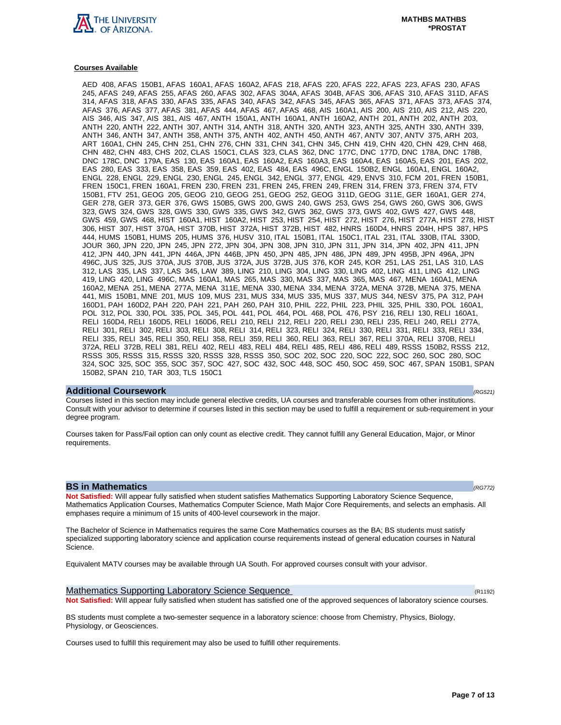

AED 408, AFAS 150B1, AFAS 160A1, AFAS 160A2, AFAS 218, AFAS 220, AFAS 222, AFAS 223, AFAS 230, AFAS 245, AFAS 249, AFAS 255, AFAS 260, AFAS 302, AFAS 304A, AFAS 304B, AFAS 306, AFAS 310, AFAS 311D, AFAS 314, AFAS 318, AFAS 330, AFAS 335, AFAS 340, AFAS 342, AFAS 345, AFAS 365, AFAS 371, AFAS 373, AFAS 374, AFAS 376, AFAS 377, AFAS 381, AFAS 444, AFAS 467, AFAS 468, AIS 160A1, AIS 200, AIS 210, AIS 212, AIS 220, AIS 346, AIS 347, AIS 381, AIS 467, ANTH 150A1, ANTH 160A1, ANTH 160A2, ANTH 201, ANTH 202, ANTH 203, ANTH 220, ANTH 222, ANTH 307, ANTH 314, ANTH 318, ANTH 320, ANTH 323, ANTH 325, ANTH 330, ANTH 339, ANTH 346, ANTH 347, ANTH 358, ANTH 375, ANTH 402, ANTH 450, ANTH 467, ANTV 307, ANTV 375, ARH 203, ART 160A1, CHN 245, CHN 251, CHN 276, CHN 331, CHN 341, CHN 345, CHN 419, CHN 420, CHN 429, CHN 468, CHN 482, CHN 483, CHS 202, CLAS 150C1, CLAS 323, CLAS 362, DNC 177C, DNC 177D, DNC 178A, DNC 178B, DNC 178C, DNC 179A, EAS 130, EAS 160A1, EAS 160A2, EAS 160A3, EAS 160A4, EAS 160A5, EAS 201, EAS 202, EAS 280, EAS 333, EAS 358, EAS 359, EAS 402, EAS 484, EAS 496C, ENGL 150B2, ENGL 160A1, ENGL 160A2, ENGL 228, ENGL 229, ENGL 230, ENGL 245, ENGL 342, ENGL 377, ENGL 429, ENVS 310, FCM 201, FREN 150B1, FREN 150C1, FREN 160A1, FREN 230, FREN 231, FREN 245, FREN 249, FREN 314, FREN 373, FREN 374, FTV 150B1, FTV 251, GEOG 205, GEOG 210, GEOG 251, GEOG 252, GEOG 311D, GEOG 311E, GER 160A1, GER 274, GER 278, GER 373, GER 376, GWS 150B5, GWS 200, GWS 240, GWS 253, GWS 254, GWS 260, GWS 306, GWS 323, GWS 324, GWS 328, GWS 330, GWS 335, GWS 342, GWS 362, GWS 373, GWS 402, GWS 427, GWS 448, GWS 459, GWS 468, HIST 160A1, HIST 160A2, HIST 253, HIST 254, HIST 272, HIST 276, HIST 277A, HIST 278, HIST 306, HIST 307, HIST 370A, HIST 370B, HIST 372A, HIST 372B, HIST 482, HNRS 160D4, HNRS 204H, HPS 387, HPS 444, HUMS 150B1, HUMS 205, HUMS 376, HUSV 310, ITAL 150B1, ITAL 150C1, ITAL 231, ITAL 330B, ITAL 330D, JOUR 360, JPN 220, JPN 245, JPN 272, JPN 304, JPN 308, JPN 310, JPN 311, JPN 314, JPN 402, JPN 411, JPN 412, JPN 440, JPN 441, JPN 446A, JPN 446B, JPN 450, JPN 485, JPN 486, JPN 489, JPN 495B, JPN 496A, JPN 496C, JUS 325, JUS 370A, JUS 370B, JUS 372A, JUS 372B, JUS 376, KOR 245, KOR 251, LAS 251, LAS 310, LAS 312, LAS 335, LAS 337, LAS 345, LAW 389, LING 210, LING 304, LING 330, LING 402, LING 411, LING 412, LING 419, LING 420, LING 496C, MAS 160A1, MAS 265, MAS 330, MAS 337, MAS 365, MAS 467, MENA 160A1, MENA 160A2, MENA 251, MENA 277A, MENA 311E, MENA 330, MENA 334, MENA 372A, MENA 372B, MENA 375, MENA 441, MIS 150B1, MNE 201, MUS 109, MUS 231, MUS 334, MUS 335, MUS 337, MUS 344, NESV 375, PA 312, PAH 160D1, PAH 160D2, PAH 220, PAH 221, PAH 260, PAH 310, PHIL 222, PHIL 223, PHIL 325, PHIL 330, POL 160A1, POL 312, POL 330, POL 335, POL 345, POL 441, POL 464, POL 468, POL 476, PSY 216, RELI 130, RELI 160A1, RELI 160D4, RELI 160D5, RELI 160D6, RELI 210, RELI 212, RELI 220, RELI 230, RELI 235, RELI 240, RELI 277A, RELI 301, RELI 302, RELI 303, RELI 308, RELI 314, RELI 323, RELI 324, RELI 330, RELI 331, RELI 333, RELI 334, RELI 335, RELI 345, RELI 350, RELI 358, RELI 359, RELI 360, RELI 363, RELI 367, RELI 370A, RELI 370B, RELI 372A, RELI 372B, RELI 381, RELI 402, RELI 483, RELI 484, RELI 485, RELI 486, RELI 489, RSSS 150B2, RSSS 212, RSSS 305, RSSS 315, RSSS 320, RSSS 328, RSSS 350, SOC 202, SOC 220, SOC 222, SOC 260, SOC 280, SOC 324, SOC 325, SOC 355, SOC 357, SOC 427, SOC 432, SOC 448, SOC 450, SOC 459, SOC 467, SPAN 150B1, SPAN 150B2, SPAN 210, TAR 303, TLS 150C1

#### **Additional Coursework** (RG521)

Courses listed in this section may include general elective credits, UA courses and transferable courses from other institutions. Consult with your advisor to determine if courses listed in this section may be used to fulfill a requirement or sub-requirement in your degree program.

Courses taken for Pass/Fail option can only count as elective credit. They cannot fulfill any General Education, Major, or Minor requirements.

#### **BS in Mathematics (RG772)**

**Not Satisfied:** Will appear fully satisfied when student satisfies Mathematics Supporting Laboratory Science Sequence, Mathematics Application Courses, Mathematics Computer Science, Math Major Core Requirements, and selects an emphasis. All emphases require a minimum of 15 units of 400-level coursework in the major.

The Bachelor of Science in Mathematics requires the same Core Mathematics courses as the BA; BS students must satisfy specialized supporting laboratory science and application course requirements instead of general education courses in Natural Science.

Equivalent MATV courses may be available through UA South. For approved courses consult with your advisor.

Mathematics Supporting Laboratory Science Sequence (R1192) (R1192) **Not Satisfied:** Will appear fully satisfied when student has satisfied one of the approved sequences of laboratory science courses.

BS students must complete a two-semester sequence in a laboratory science: choose from Chemistry, Physics, Biology, Physiology, or Geosciences.

Courses used to fulfill this requirement may also be used to fulfill other requirements.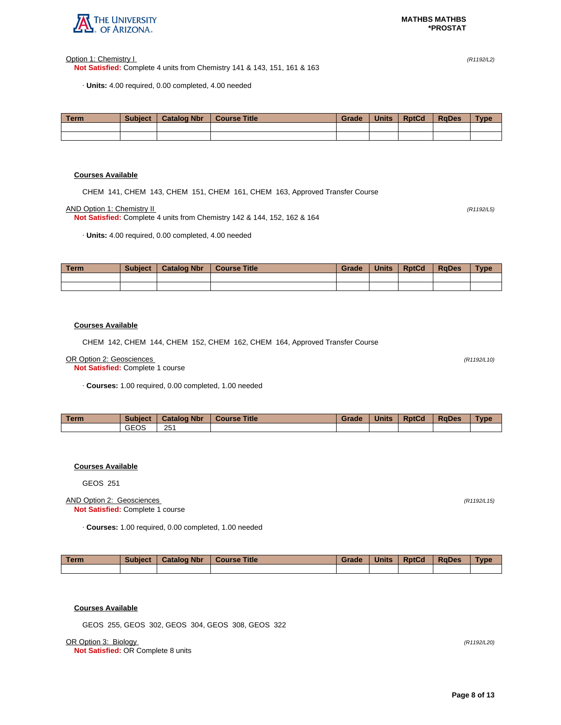

Option 1: Chemistry I (R1192/L2)

**Not Satisfied:** Complete 4 units from Chemistry 141 & 143, 151, 161 & 163

· **Units:** 4.00 required, 0.00 completed, 4.00 needed

| <b>Term</b> | <b>Subject</b> | <b>Catalog Nbr</b> | <b>Course Title</b> | Grade | <b>Units</b> | <b>RptCd</b> | <b>RaDes</b> | <b>Type</b> |
|-------------|----------------|--------------------|---------------------|-------|--------------|--------------|--------------|-------------|
|             |                |                    |                     |       |              |              |              |             |
|             |                |                    |                     |       |              |              |              |             |

## **Courses Available**

CHEM 141, CHEM 143, CHEM 151, CHEM 161, CHEM 163, Approved Transfer Course

AND Option 1: Chemistry II (R1192/L5)

**Not Satisfied:** Complete 4 units from Chemistry 142 & 144, 152, 162 & 164

· **Units:** 4.00 required, 0.00 completed, 4.00 needed

| Term | <b>Subject</b> | <b>Catalog Nbr</b> | <b>Course Title</b> | <b>Grade</b> | <b>Units</b> | <b>RptCd</b> | <b>RaDes</b> | <b>Type</b> |
|------|----------------|--------------------|---------------------|--------------|--------------|--------------|--------------|-------------|
|      |                |                    |                     |              |              |              |              |             |
|      |                |                    |                     |              |              |              |              |             |

### **Courses Available**

CHEM 142, CHEM 144, CHEM 152, CHEM 162, CHEM 164, Approved Transfer Course

#### OR Option 2: Geosciences (R1192/L10)

**Not Satisfied:** Complete 1 course

· **Courses:** 1.00 required, 0.00 completed, 1.00 needed

| <b>Term</b> | <b>Subject</b> | <b>Catalog Nbr</b> | <b>Course Title</b> | Grade | <b>Units</b> | <b>RptCd</b> | <b>RaDes</b> | <b>Type</b> |
|-------------|----------------|--------------------|---------------------|-------|--------------|--------------|--------------|-------------|
|             | <b>GEOS</b>    | 251                |                     |       |              |              |              |             |

## **Courses Available**

GEOS 251

### AND Option 2: Geosciences (R1192/L15) **Not Satisfied:** Complete 1 course

· **Courses:** 1.00 required, 0.00 completed, 1.00 needed

| Term | <b>Subject</b> | <b>Catalog Nbr</b> | Course Title | Grade | <b>Units</b> | <b>RptCd</b> | <b>RaDes</b> | <b>Type</b> |
|------|----------------|--------------------|--------------|-------|--------------|--------------|--------------|-------------|
|      |                |                    |              |       |              |              |              |             |

# **Courses Available**

GEOS 255, GEOS 302, GEOS 304, GEOS 308, GEOS 322

OR Option 3: Biology (R1192/L20)

**Not Satisfied:** OR Complete 8 units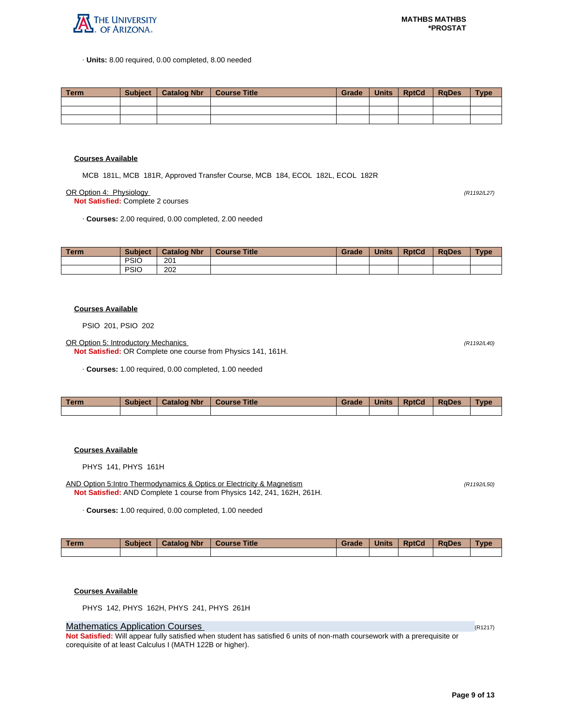

· **Units:** 8.00 required, 0.00 completed, 8.00 needed

| Term. | Subject   Catalog Nbr   Course Title | Grade | Units | <b>RptCd</b> | RaDes | <b>Type</b> |
|-------|--------------------------------------|-------|-------|--------------|-------|-------------|
|       |                                      |       |       |              |       |             |
|       |                                      |       |       |              |       |             |
|       |                                      |       |       |              |       |             |

#### **Courses Available**

MCB 181L, MCB 181R, Approved Transfer Course, MCB 184, ECOL 182L, ECOL 182R

OR Option 4: Physiology (R1192/L27)

**Not Satisfied:** Complete 2 courses

· **Courses:** 2.00 required, 0.00 completed, 2.00 needed

| <b>Term</b> | <b>Subject</b> | <b>Catalog Nbr</b> | <b>Course Title</b> | Grade | <b>Units</b> | <b>RptCd</b> | <b>RaDes</b> | <b>Type</b> |
|-------------|----------------|--------------------|---------------------|-------|--------------|--------------|--------------|-------------|
|             | <b>PSIO</b>    | 201                |                     |       |              |              |              |             |
|             | <b>PSIC</b>    | 202                |                     |       |              |              |              |             |

#### **Courses Available**

PSIO 201, PSIO 202

OR Option 5: Introductory Mechanics (R1192/L40)

**Not Satisfied:** OR Complete one course from Physics 141, 161H.

· **Courses:** 1.00 required, 0.00 completed, 1.00 needed

| <b>Term</b> | Subject | <b>Catalog Nbr</b> | <b>Course Title</b> | Grade | <b>Units</b> | <b>RptCd</b> | <b>RaDes</b> | Type |
|-------------|---------|--------------------|---------------------|-------|--------------|--------------|--------------|------|
|             |         |                    |                     |       |              |              |              |      |

## **Courses Available**

PHYS 141, PHYS 161H

AND Option 5:Intro Thermodynamics & Optics or Electricity & Magnetism (R1192/L50) (R1192/L50) **Not Satisfied:** AND Complete 1 course from Physics 142, 241, 162H, 261H.

· **Courses:** 1.00 required, 0.00 completed, 1.00 needed

| Term | <b>Subject</b> | <b>Catalog Nbr</b> | Course Title | Grade | <b>Units</b> | <b>RptCd</b> | <b>RaDes</b> | <b>Type</b> |
|------|----------------|--------------------|--------------|-------|--------------|--------------|--------------|-------------|
|      |                |                    |              |       |              |              |              |             |

#### **Courses Available**

PHYS 142, PHYS 162H, PHYS 241, PHYS 261H

## **Mathematics Application Courses (R1217)** (R1217)

**Not Satisfied:** Will appear fully satisfied when student has satisfied 6 units of non-math coursework with a prerequisite or corequisite of at least Calculus I (MATH 122B or higher).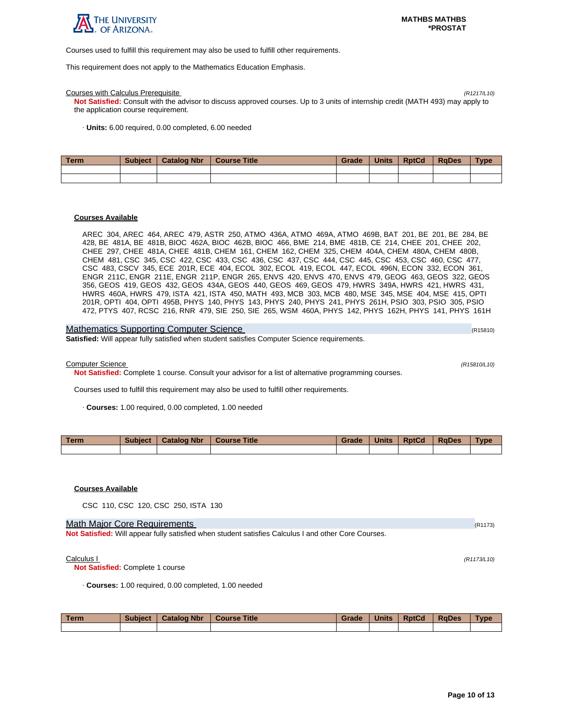

Courses used to fulfill this requirement may also be used to fulfill other requirements.

This requirement does not apply to the Mathematics Education Emphasis.

#### Courses with Calculus Prerequisite (R1217/L10)

**Not Satisfied:** Consult with the advisor to discuss approved courses. Up to 3 units of internship credit (MATH 493) may apply to the application course requirement.

· **Units:** 6.00 required, 0.00 completed, 6.00 needed

| Term | <b>Subject</b> | <b>Catalog Nbr</b> | Course Title | Grade | <b>Units</b> | <b>RptCd</b> | <b>RaDes</b> | <b>Type</b> |
|------|----------------|--------------------|--------------|-------|--------------|--------------|--------------|-------------|
|      |                |                    |              |       |              |              |              |             |
|      |                |                    |              |       |              |              |              |             |

#### **Courses Available**

AREC 304, AREC 464, AREC 479, ASTR 250, ATMO 436A, ATMO 469A, ATMO 469B, BAT 201, BE 201, BE 284, BE 428, BE 481A, BE 481B, BIOC 462A, BIOC 462B, BIOC 466, BME 214, BME 481B, CE 214, CHEE 201, CHEE 202, CHEE 297, CHEE 481A, CHEE 481B, CHEM 161, CHEM 162, CHEM 325, CHEM 404A, CHEM 480A, CHEM 480B, CHEM 481, CSC 345, CSC 422, CSC 433, CSC 436, CSC 437, CSC 444, CSC 445, CSC 453, CSC 460, CSC 477, CSC 483, CSCV 345, ECE 201R, ECE 404, ECOL 302, ECOL 419, ECOL 447, ECOL 496N, ECON 332, ECON 361, ENGR 211C, ENGR 211E, ENGR 211P, ENGR 265, ENVS 420, ENVS 470, ENVS 479, GEOG 463, GEOS 322, GEOS 356, GEOS 419, GEOS 432, GEOS 434A, GEOS 440, GEOS 469, GEOS 479, HWRS 349A, HWRS 421, HWRS 431, HWRS 460A, HWRS 479, ISTA 421, ISTA 450, MATH 493, MCB 303, MCB 480, MSE 345, MSE 404, MSE 415, OPTI 201R, OPTI 404, OPTI 495B, PHYS 140, PHYS 143, PHYS 240, PHYS 241, PHYS 261H, PSIO 303, PSIO 305, PSIO 472, PTYS 407, RCSC 216, RNR 479, SIE 250, SIE 265, WSM 460A, PHYS 142, PHYS 162H, PHYS 141, PHYS 161H

| <b>Mathematics Supporting Computer Science</b>                                                      | (R15810) |
|-----------------------------------------------------------------------------------------------------|----------|
| <b>Satisfied:</b> Will appear fully satisfied when student satisfies Computer Science requirements. |          |

Computer Science (R15810/L10)

**Not Satisfied:** Complete 1 course. Consult your advisor for a list of alternative programming courses.

Courses used to fulfill this requirement may also be used to fulfill other requirements.

· **Courses:** 1.00 required, 0.00 completed, 1.00 needed

| <b>Term</b> | <b>Subject</b> | <b>Catalog Nbr</b> | <b>Course Title</b> | Grade | <b>Units</b> | <b>RptCd</b> | <b>RaDes</b> | <b>Type</b> |
|-------------|----------------|--------------------|---------------------|-------|--------------|--------------|--------------|-------------|
|             |                |                    |                     |       |              |              |              |             |

#### **Courses Available**

CSC 110, CSC 120, CSC 250, ISTA 130

#### Math Major Core Requirements (R1173) (R1173)

**Not Satisfied:** Will appear fully satisfied when student satisfies Calculus I and other Core Courses.

#### Calculus I (R1173/L10)

**Not Satisfied:** Complete 1 course

· **Courses:** 1.00 required, 0.00 completed, 1.00 needed

| <b>Term</b> | <b>Subject</b> | <b>Catalog Nbr</b> | <b>Course Title</b> | Grade | <b>Units</b> | <b>RptCd</b> | <b>RaDes</b> | <b>Type</b> |
|-------------|----------------|--------------------|---------------------|-------|--------------|--------------|--------------|-------------|
|             |                |                    |                     |       |              |              |              |             |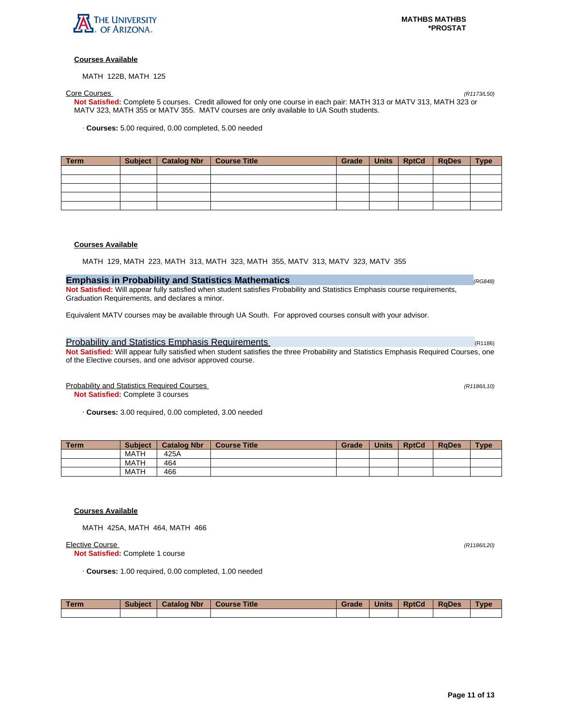

MATH 122B, MATH 125

Core Courses (R1173/L50) **Not Satisfied:** Complete 5 courses. Credit allowed for only one course in each pair: MATH 313 or MATV 313, MATH 323 or MATV 323, MATH 355 or MATV 355. MATV courses are only available to UA South students.

· **Courses:** 5.00 required, 0.00 completed, 5.00 needed

| Term | Subject   Catalog Nbr   Course Title | Grade | Units   RptCd | $ $ RgDes | <b>Type</b> |
|------|--------------------------------------|-------|---------------|-----------|-------------|
|      |                                      |       |               |           |             |
|      |                                      |       |               |           |             |
|      |                                      |       |               |           |             |
|      |                                      |       |               |           |             |
|      |                                      |       |               |           |             |

## **Courses Available**

MATH 129, MATH 223, MATH 313, MATH 323, MATH 355, MATV 313, MATV 323, MATV 355

## **Emphasis in Probability and Statistics Mathematics Emphasis in Probability and Statistics Mathematics**

**Not Satisfied:** Will appear fully satisfied when student satisfies Probability and Statistics Emphasis course requirements, Graduation Requirements, and declares a minor.

Equivalent MATV courses may be available through UA South. For approved courses consult with your advisor.

## Probability and Statistics Emphasis Requirements (R1186) and R1186) (R1186)

**Not Satisfied:** Will appear fully satisfied when student satisfies the three Probability and Statistics Emphasis Required Courses, one of the Elective courses, and one advisor approved course.

Probability and Statistics Required Courses (R1186/L10)

**Not Satisfied:** Complete 3 courses

· **Courses:** 3.00 required, 0.00 completed, 3.00 needed

| <b>Term</b> | <b>Subject</b> | <b>Catalog Nbr</b> | <b>Course Title</b> | Grade | <b>Units</b> | <b>RptCd</b> | <b>RaDes</b> | <b>Type</b> |
|-------------|----------------|--------------------|---------------------|-------|--------------|--------------|--------------|-------------|
|             | <b>MATH</b>    | 425A               |                     |       |              |              |              |             |
|             | <b>MATH</b>    | 464                |                     |       |              |              |              |             |
|             | <b>MATH</b>    | 466                |                     |       |              |              |              |             |

#### **Courses Available**

MATH 425A, MATH 464, MATH 466

Elective Course (R1186/L20)

**Not Satisfied:** Complete 1 course

· **Courses:** 1.00 required, 0.00 completed, 1.00 needed

| <b>Term</b> | <b>Subject</b> | <b>Catalog Nbr</b> | <b>Course Title</b> | Grade | <b>Units</b> | <b>RptCd</b> | <b>RaDes</b> | <b>Type</b> |
|-------------|----------------|--------------------|---------------------|-------|--------------|--------------|--------------|-------------|
|             |                |                    |                     |       |              |              |              |             |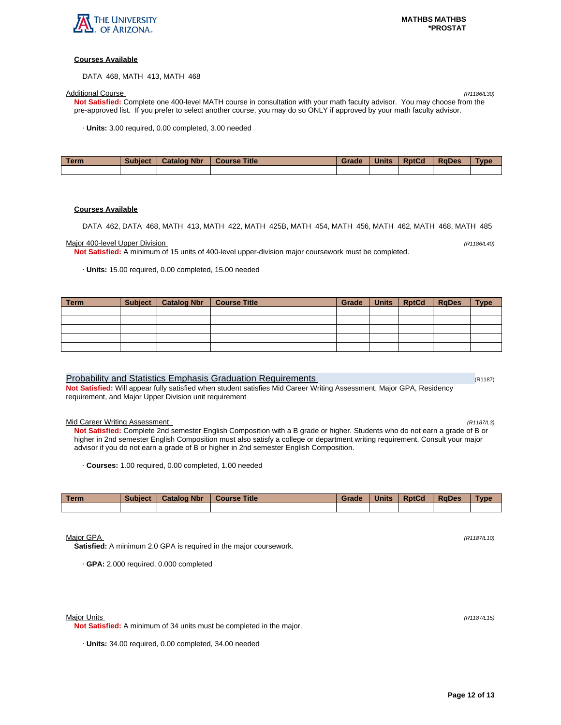

DATA 468, MATH 413, MATH 468

Additional Course (R1186/L30) **Not Satisfied:** Complete one 400-level MATH course in consultation with your math faculty advisor. You may choose from the pre-approved list. If you prefer to select another course, you may do so ONLY if approved by your math faculty advisor.

· **Units:** 3.00 required, 0.00 completed, 3.00 needed

| <b>Term</b> | <b>Subject</b> | <b>Catalog Nbr</b> | <b>Course Title</b> | Grade | <b>Units</b> | <b>RptCd</b> | <b>RaDes</b> | Type |
|-------------|----------------|--------------------|---------------------|-------|--------------|--------------|--------------|------|
|             |                |                    |                     |       |              |              |              |      |

#### **Courses Available**

DATA 462, DATA 468, MATH 413, MATH 422, MATH 425B, MATH 454, MATH 456, MATH 462, MATH 468, MATH 485

### Major 400-level Upper Division (R1186/L40)

**Not Satisfied:** A minimum of 15 units of 400-level upper-division major coursework must be completed.

· **Units:** 15.00 required, 0.00 completed, 15.00 needed

| Term | Subject   Catalog Nbr | <b>Course Title</b> | Grade | Units RptCd | $ $ RgDes | <b>Type</b> |
|------|-----------------------|---------------------|-------|-------------|-----------|-------------|
|      |                       |                     |       |             |           |             |
|      |                       |                     |       |             |           |             |
|      |                       |                     |       |             |           |             |
|      |                       |                     |       |             |           |             |
|      |                       |                     |       |             |           |             |

### Probability and Statistics Emphasis Graduation Requirements (R1187) (R1187)

**Not Satisfied:** Will appear fully satisfied when student satisfies Mid Career Writing Assessment, Major GPA, Residency requirement, and Major Upper Division unit requirement

#### Mid Career Writing Assessment (R1187/L3)

**Not Satisfied:** Complete 2nd semester English Composition with a B grade or higher. Students who do not earn a grade of B or higher in 2nd semester English Composition must also satisfy a college or department writing requirement. Consult your major advisor if you do not earn a grade of B or higher in 2nd semester English Composition.

· **Courses:** 1.00 required, 0.00 completed, 1.00 needed

| Term | <b>Subject</b> | <b>Catalog Nbr</b> | Course Title | Grade | <b>Units</b> | <b>RptCd</b> | <b>RaDes</b> | <b>Type</b> |
|------|----------------|--------------------|--------------|-------|--------------|--------------|--------------|-------------|
|      |                |                    |              |       |              |              |              |             |

Major GPA (R1187/L10)

**Satisfied:** A minimum 2.0 GPA is required in the major coursework.

· **GPA:** 2.000 required, 0.000 completed

#### Major Units (R1187/L15)

**Not Satisfied:** A minimum of 34 units must be completed in the major.

· **Units:** 34.00 required, 0.00 completed, 34.00 needed